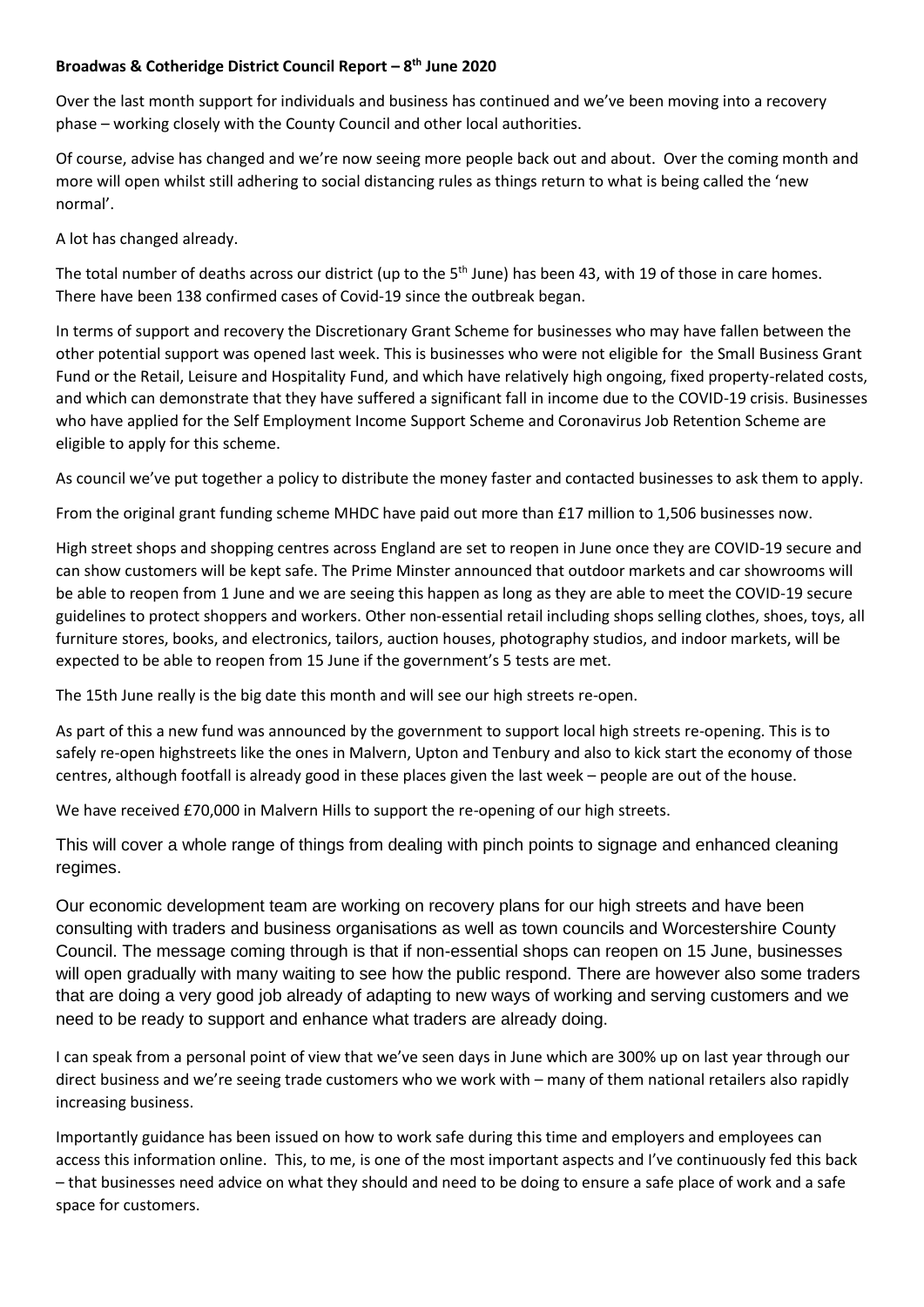## **Broadwas & Cotheridge District Council Report – 8 th June 2020**

Over the last month support for individuals and business has continued and we've been moving into a recovery phase – working closely with the County Council and other local authorities.

Of course, advise has changed and we're now seeing more people back out and about. Over the coming month and more will open whilst still adhering to social distancing rules as things return to what is being called the 'new normal'.

A lot has changed already.

The total number of deaths across our district (up to the  $5<sup>th</sup>$  June) has been 43, with 19 of those in care homes. There have been 138 confirmed cases of Covid-19 since the outbreak began.

In terms of support and recovery the Discretionary Grant Scheme for businesses who may have fallen between the other potential support was opened last week. This is businesses who were not eligible for the Small Business Grant Fund or the Retail, Leisure and Hospitality Fund, and which have relatively high ongoing, fixed property-related costs, and which can demonstrate that they have suffered a significant fall in income due to the COVID-19 crisis. Businesses who have applied for the Self Employment Income Support Scheme and Coronavirus Job Retention Scheme are eligible to apply for this scheme.

As council we've put together a policy to distribute the money faster and contacted businesses to ask them to apply.

From the original grant funding scheme MHDC have paid out more than £17 million to 1,506 businesses now.

High street shops and shopping centres across England are set to reopen in June once they are COVID-19 secure and can show customers will be kept safe. The Prime Minster announced that outdoor markets and car showrooms will be able to reopen from 1 June and we are seeing this happen as long as they are able to meet the COVID-19 secure guidelines to protect shoppers and workers. Other non-essential retail including shops selling clothes, shoes, toys, all furniture stores, books, and electronics, tailors, auction houses, photography studios, and indoor markets, will be expected to be able to reopen from 15 June if the government's 5 tests are met.

The 15th June really is the big date this month and will see our high streets re-open.

As part of this a new fund was announced by the government to support local high streets re-opening. This is to safely re-open highstreets like the ones in Malvern, Upton and Tenbury and also to kick start the economy of those centres, although footfall is already good in these places given the last week – people are out of the house.

We have received £70,000 in Malvern Hills to support the re-opening of our high streets.

This will cover a whole range of things from dealing with pinch points to signage and enhanced cleaning regimes.

Our economic development team are working on recovery plans for our high streets and have been consulting with traders and business organisations as well as town councils and Worcestershire County Council. The message coming through is that if non-essential shops can reopen on 15 June, businesses will open gradually with many waiting to see how the public respond. There are however also some traders that are doing a very good job already of adapting to new ways of working and serving customers and we need to be ready to support and enhance what traders are already doing.

I can speak from a personal point of view that we've seen days in June which are 300% up on last year through our direct business and we're seeing trade customers who we work with – many of them national retailers also rapidly increasing business.

Importantly guidance has been issued on how to work safe during this time and employers and employees can access this information online. This, to me, is one of the most important aspects and I've continuously fed this back – that businesses need advice on what they should and need to be doing to ensure a safe place of work and a safe space for customers.